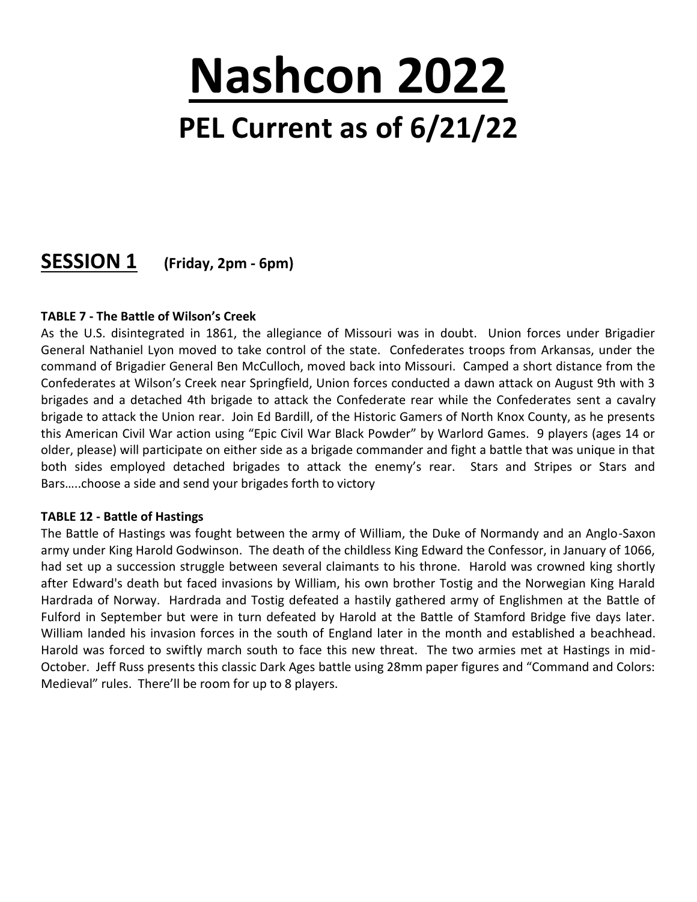# **Nashcon 2022 PEL Current as of 6/21/22**

## **SESSION 1 (Friday, 2pm - 6pm)**

#### **TABLE 7 - The Battle of Wilson's Creek**

As the U.S. disintegrated in 1861, the allegiance of Missouri was in doubt. Union forces under Brigadier General Nathaniel Lyon moved to take control of the state. Confederates troops from Arkansas, under the command of Brigadier General Ben McCulloch, moved back into Missouri. Camped a short distance from the Confederates at Wilson's Creek near Springfield, Union forces conducted a dawn attack on August 9th with 3 brigades and a detached 4th brigade to attack the Confederate rear while the Confederates sent a cavalry brigade to attack the Union rear. Join Ed Bardill, of the Historic Gamers of North Knox County, as he presents this American Civil War action using "Epic Civil War Black Powder" by Warlord Games. 9 players (ages 14 or older, please) will participate on either side as a brigade commander and fight a battle that was unique in that both sides employed detached brigades to attack the enemy's rear. Stars and Stripes or Stars and Bars…..choose a side and send your brigades forth to victory

#### **TABLE 12 - Battle of Hastings**

The Battle of Hastings was fought between the army of William, the Duke of Normandy and an Anglo-Saxon army under King Harold Godwinson. The death of the childless King Edward the Confessor, in January of 1066, had set up a succession struggle between several claimants to his throne. Harold was crowned king shortly after Edward's death but faced invasions by William, his own brother Tostig and the Norwegian King Harald Hardrada of Norway. Hardrada and Tostig defeated a hastily gathered army of Englishmen at the Battle of Fulford in September but were in turn defeated by Harold at the Battle of Stamford Bridge five days later. William landed his invasion forces in the south of England later in the month and established a beachhead. Harold was forced to swiftly march south to face this new threat. The two armies met at Hastings in mid-October. Jeff Russ presents this classic Dark Ages battle using 28mm paper figures and "Command and Colors: Medieval" rules. There'll be room for up to 8 players.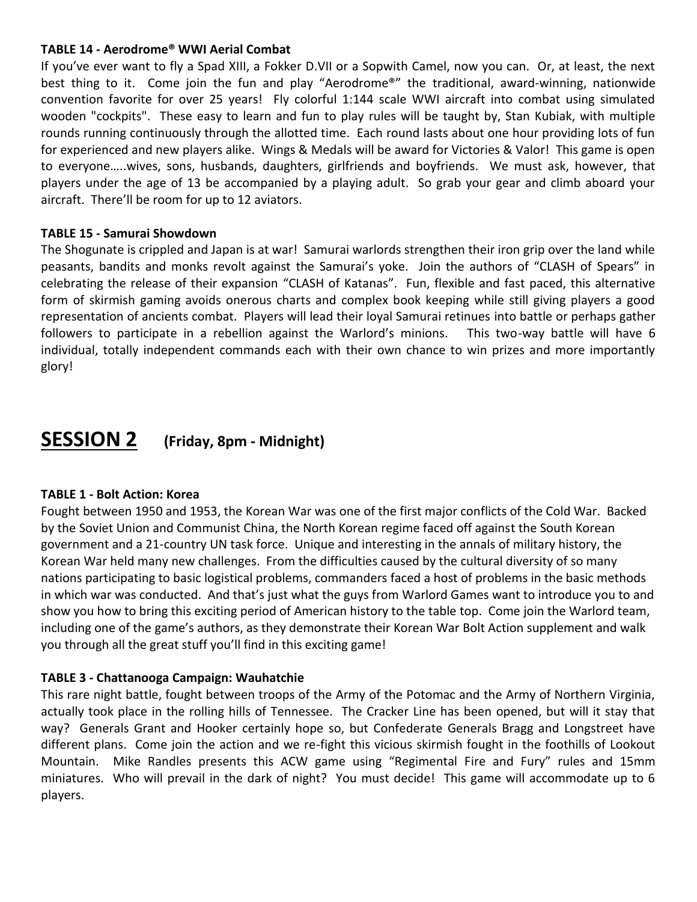#### **TABLE 14 - Aerodrome® WWI Aerial Combat**

If you've ever want to fly a Spad XIII, a Fokker D.VII or a Sopwith Camel, now you can. Or, at least, the next best thing to it. Come join the fun and play "Aerodrome®" the traditional, award-winning, nationwide convention favorite for over 25 years! Fly colorful 1:144 scale WWI aircraft into combat using simulated wooden "cockpits". These easy to learn and fun to play rules will be taught by, Stan Kubiak, with multiple rounds running continuously through the allotted time. Each round lasts about one hour providing lots of fun for experienced and new players alike. Wings & Medals will be award for Victories & Valor! This game is open to everyone…..wives, sons, husbands, daughters, girlfriends and boyfriends. We must ask, however, that players under the age of 13 be accompanied by a playing adult. So grab your gear and climb aboard your aircraft. There'll be room for up to 12 aviators.

#### **TABLE 15 - Samurai Showdown**

The Shogunate is crippled and Japan is at war! Samurai warlords strengthen their iron grip over the land while peasants, bandits and monks revolt against the Samurai's yoke. Join the authors of "CLASH of Spears" in celebrating the release of their expansion "CLASH of Katanas". Fun, flexible and fast paced, this alternative form of skirmish gaming avoids onerous charts and complex book keeping while still giving players a good representation of ancients combat. Players will lead their loyal Samurai retinues into battle or perhaps gather followers to participate in a rebellion against the Warlord's minions. This two-way battle will have 6 individual, totally independent commands each with their own chance to win prizes and more importantly glory!

### **SESSION 2 (Friday, 8pm - Midnight)**

#### **TABLE 1 - Bolt Action: Korea**

Fought between 1950 and 1953, the Korean War was one of the first major conflicts of the Cold War. Backed by the Soviet Union and Communist China, the North Korean regime faced off against the South Korean government and a 21-country UN task force. Unique and interesting in the annals of military history, the Korean War held many new challenges. From the difficulties caused by the cultural diversity of so many nations participating to basic logistical problems, commanders faced a host of problems in the basic methods in which war was conducted. And that's just what the guys from Warlord Games want to introduce you to and show you how to bring this exciting period of American history to the table top. Come join the Warlord team, including one of the game's authors, as they demonstrate their Korean War Bolt Action supplement and walk you through all the great stuff you'll find in this exciting game!

#### **TABLE 3 - Chattanooga Campaign: Wauhatchie**

This rare night battle, fought between troops of the Army of the Potomac and the Army of Northern Virginia, actually took place in the rolling hills of Tennessee. The Cracker Line has been opened, but will it stay that way? Generals Grant and Hooker certainly hope so, but Confederate Generals Bragg and Longstreet have different plans. Come join the action and we re-fight this vicious skirmish fought in the foothills of Lookout Mountain. Mike Randles presents this ACW game using "Regimental Fire and Fury" rules and 15mm miniatures. Who will prevail in the dark of night? You must decide! This game will accommodate up to 6 players.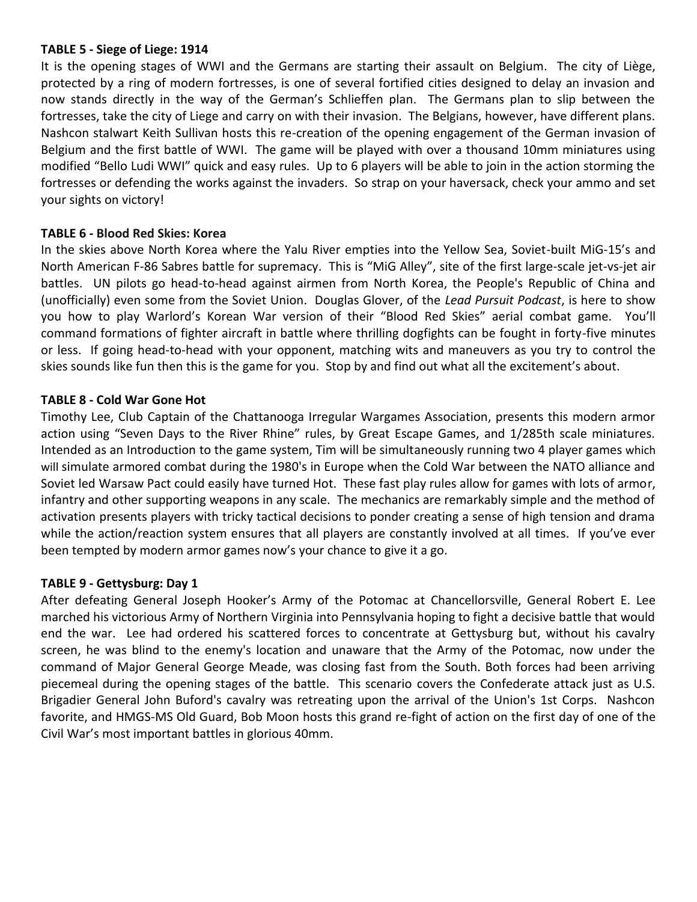#### **TABLE 5 - Siege of Liege: 1914**

It is the opening stages of WWI and the Germans are starting their assault on Belgium. The city of Liège, protected by a ring of modern fortresses, is one of several fortified cities designed to delay an invasion and now stands directly in the way of the German's Schlieffen plan. The Germans plan to slip between the fortresses, take the city of Liege and carry on with their invasion. The Belgians, however, have different plans. Nashcon stalwart Keith Sullivan hosts this re-creation of the opening engagement of the German invasion of Belgium and the first battle of WWI. The game will be played with over a thousand 10mm miniatures using modified "Bello Ludi WWI" quick and easy rules. Up to 6 players will be able to join in the action storming the fortresses or defending the works against the invaders. So strap on your haversack, check your ammo and set your sights on victory!

#### **TABLE 6 - Blood Red Skies: Korea**

In the skies above North Korea where the Yalu River empties into the Yellow Sea, Soviet-built MiG-15's and North American F-86 Sabres battle for supremacy. This is "MiG Alley", site of the first large-scale jet-vs-jet air battles. UN pilots go head-to-head against airmen from North Korea, the People's Republic of China and (unofficially) even some from the Soviet Union. Douglas Glover, of the *Lead Pursuit Podcast*, is here to show you how to play Warlord's Korean War version of their "Blood Red Skies" aerial combat game. You'll command formations of fighter aircraft in battle where thrilling dogfights can be fought in forty-five minutes or less. If going head-to-head with your opponent, matching wits and maneuvers as you try to control the skies sounds like fun then this is the game for you. Stop by and find out what all the excitement's about.

#### **TABLE 8 - Cold War Gone Hot**

Timothy Lee, Club Captain of the Chattanooga Irregular Wargames Association, presents this modern armor action using "Seven Days to the River Rhine" rules, by Great Escape Games, and 1/285th scale miniatures. Intended as an Introduction to the game system, Tim will be simultaneously running two 4 player games which will simulate armored combat during the 1980's in Europe when the Cold War between the NATO alliance and Soviet led Warsaw Pact could easily have turned Hot. These fast play rules allow for games with lots of armor, infantry and other supporting weapons in any scale. The mechanics are remarkably simple and the method of activation presents players with tricky tactical decisions to ponder creating a sense of high tension and drama while the action/reaction system ensures that all players are constantly involved at all times. If you've ever been tempted by modern armor games now's your chance to give it a go.

#### **TABLE 9 - Gettysburg: Day 1**

After defeating General Joseph Hooker's Army of the Potomac at Chancellorsville, General Robert E. Lee marched his victorious Army of Northern Virginia into Pennsylvania hoping to fight a decisive battle that would end the war. Lee had ordered his scattered forces to concentrate at Gettysburg but, without his cavalry screen, he was blind to the enemy's location and unaware that the Army of the Potomac, now under the command of Major General George Meade, was closing fast from the South. Both forces had been arriving piecemeal during the opening stages of the battle. This scenario covers the Confederate attack just as U.S. Brigadier General John Buford's cavalry was retreating upon the arrival of the Union's 1st Corps. Nashcon favorite, and HMGS-MS Old Guard, Bob Moon hosts this grand re-fight of action on the first day of one of the Civil War's most important battles in glorious 40mm.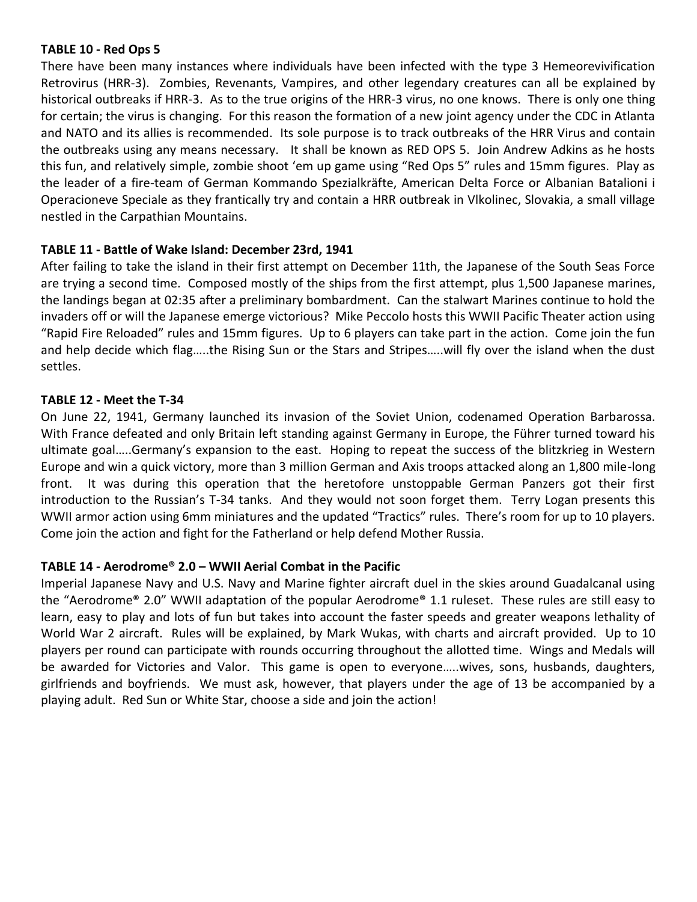#### **TABLE 10 - Red Ops 5**

There have been many instances where individuals have been infected with the type 3 Hemeorevivification Retrovirus (HRR-3). Zombies, Revenants, Vampires, and other legendary creatures can all be explained by historical outbreaks if HRR-3. As to the true origins of the HRR-3 virus, no one knows. There is only one thing for certain; the virus is changing. For this reason the formation of a new joint agency under the CDC in Atlanta and NATO and its allies is recommended. Its sole purpose is to track outbreaks of the HRR Virus and contain the outbreaks using any means necessary. It shall be known as RED OPS 5. Join Andrew Adkins as he hosts this fun, and relatively simple, zombie shoot 'em up game using "Red Ops 5" rules and 15mm figures. Play as the leader of a fire-team of German Kommando Spezialkräfte, American Delta Force or Albanian Batalioni i Operacioneve Speciale as they frantically try and contain a HRR outbreak in Vlkolinec, Slovakia, a small village nestled in the Carpathian Mountains.

#### **TABLE 11 - Battle of Wake Island: December 23rd, 1941**

After failing to take the island in their first attempt on December 11th, the Japanese of the South Seas Force are trying a second time. Composed mostly of the ships from the first attempt, plus 1,500 Japanese marines, the landings began at 02:35 after a preliminary bombardment. Can the stalwart Marines continue to hold the invaders off or will the Japanese emerge victorious? Mike Peccolo hosts this WWII Pacific Theater action using "Rapid Fire Reloaded" rules and 15mm figures. Up to 6 players can take part in the action. Come join the fun and help decide which flag…..the Rising Sun or the Stars and Stripes…..will fly over the island when the dust settles.

#### **TABLE 12 - Meet the T-34**

On June 22, 1941, Germany launched its invasion of the Soviet Union, codenamed Operation Barbarossa. With France defeated and only Britain left standing against Germany in Europe, the Führer turned toward his ultimate goal…..Germany's expansion to the east. Hoping to repeat the success of the blitzkrieg in Western Europe and win a quick victory, more than 3 million German and Axis troops attacked along an 1,800 mile-long front. It was during this operation that the heretofore unstoppable German Panzers got their first introduction to the Russian's T-34 tanks. And they would not soon forget them. Terry Logan presents this WWII armor action using 6mm miniatures and the updated "Tractics" rules. There's room for up to 10 players. Come join the action and fight for the Fatherland or help defend Mother Russia.

#### **TABLE 14 - Aerodrome® 2.0 – WWII Aerial Combat in the Pacific**

Imperial Japanese Navy and U.S. Navy and Marine fighter aircraft duel in the skies around Guadalcanal using the "Aerodrome® 2.0" WWII adaptation of the popular Aerodrome® 1.1 ruleset. These rules are still easy to learn, easy to play and lots of fun but takes into account the faster speeds and greater weapons lethality of World War 2 aircraft. Rules will be explained, by Mark Wukas, with charts and aircraft provided. Up to 10 players per round can participate with rounds occurring throughout the allotted time. Wings and Medals will be awarded for Victories and Valor. This game is open to everyone…..wives, sons, husbands, daughters, girlfriends and boyfriends. We must ask, however, that players under the age of 13 be accompanied by a playing adult. Red Sun or White Star, choose a side and join the action!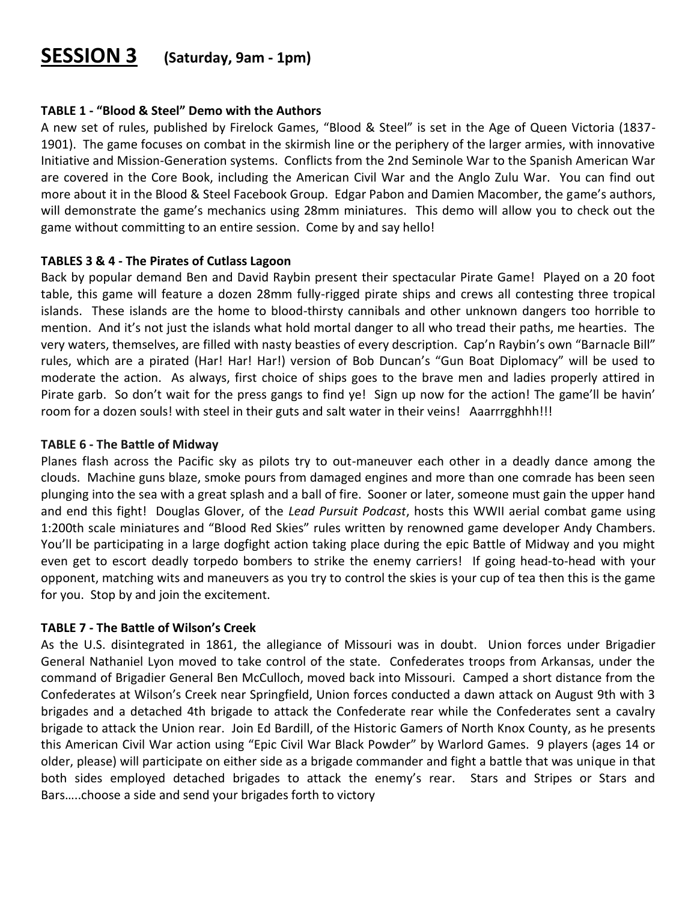## **SESSION 3 (Saturday, 9am - 1pm)**

#### **TABLE 1 - "Blood & Steel" Demo with the Authors**

A new set of rules, published by Firelock Games, "Blood & Steel" is set in the Age of Queen Victoria (1837- 1901). The game focuses on combat in the skirmish line or the periphery of the larger armies, with innovative Initiative and Mission-Generation systems. Conflicts from the 2nd Seminole War to the Spanish American War are covered in the Core Book, including the American Civil War and the Anglo Zulu War. You can find out more about it in the Blood & Steel Facebook Group. Edgar Pabon and Damien Macomber, the game's authors, will demonstrate the game's mechanics using 28mm miniatures. This demo will allow you to check out the game without committing to an entire session. Come by and say hello!

#### **TABLES 3 & 4 - The Pirates of Cutlass Lagoon**

Back by popular demand Ben and David Raybin present their spectacular Pirate Game! Played on a 20 foot table, this game will feature a dozen 28mm fully-rigged pirate ships and crews all contesting three tropical islands. These islands are the home to blood-thirsty cannibals and other unknown dangers too horrible to mention. And it's not just the islands what hold mortal danger to all who tread their paths, me hearties. The very waters, themselves, are filled with nasty beasties of every description. Cap'n Raybin's own "Barnacle Bill" rules, which are a pirated (Har! Har! Har!) version of Bob Duncan's "Gun Boat Diplomacy" will be used to moderate the action. As always, first choice of ships goes to the brave men and ladies properly attired in Pirate garb. So don't wait for the press gangs to find ye! Sign up now for the action! The game'll be havin' room for a dozen souls! with steel in their guts and salt water in their veins! Aaarrrgghhh!!!

#### **TABLE 6 - The Battle of Midway**

Planes flash across the Pacific sky as pilots try to out-maneuver each other in a deadly dance among the clouds. Machine guns blaze, smoke pours from damaged engines and more than one comrade has been seen plunging into the sea with a great splash and a ball of fire. Sooner or later, someone must gain the upper hand and end this fight! Douglas Glover, of the *Lead Pursuit Podcast*, hosts this WWII aerial combat game using 1:200th scale miniatures and "Blood Red Skies" rules written by renowned game developer Andy Chambers. You'll be participating in a large dogfight action taking place during the epic Battle of Midway and you might even get to escort deadly torpedo bombers to strike the enemy carriers! If going head-to-head with your opponent, matching wits and maneuvers as you try to control the skies is your cup of tea then this is the game for you. Stop by and join the excitement.

#### **TABLE 7 - The Battle of Wilson's Creek**

As the U.S. disintegrated in 1861, the allegiance of Missouri was in doubt. Union forces under Brigadier General Nathaniel Lyon moved to take control of the state. Confederates troops from Arkansas, under the command of Brigadier General Ben McCulloch, moved back into Missouri. Camped a short distance from the Confederates at Wilson's Creek near Springfield, Union forces conducted a dawn attack on August 9th with 3 brigades and a detached 4th brigade to attack the Confederate rear while the Confederates sent a cavalry brigade to attack the Union rear. Join Ed Bardill, of the Historic Gamers of North Knox County, as he presents this American Civil War action using "Epic Civil War Black Powder" by Warlord Games. 9 players (ages 14 or older, please) will participate on either side as a brigade commander and fight a battle that was unique in that both sides employed detached brigades to attack the enemy's rear. Stars and Stripes or Stars and Bars…..choose a side and send your brigades forth to victory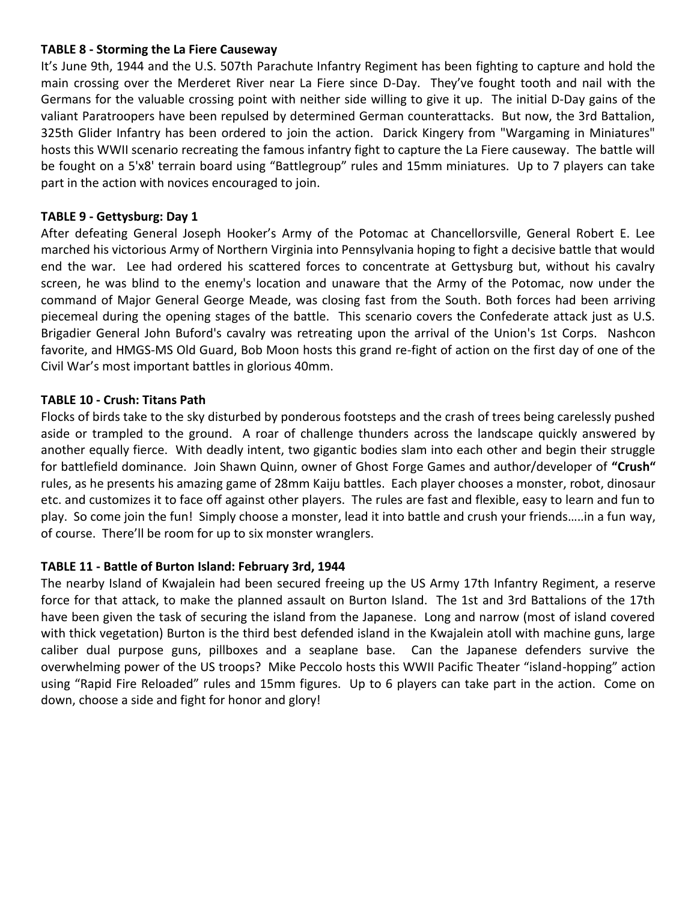#### **TABLE 8 - Storming the La Fiere Causeway**

It's June 9th, 1944 and the U.S. 507th Parachute Infantry Regiment has been fighting to capture and hold the main crossing over the Merderet River near La Fiere since D-Day. They've fought tooth and nail with the Germans for the valuable crossing point with neither side willing to give it up. The initial D-Day gains of the valiant Paratroopers have been repulsed by determined German counterattacks. But now, the 3rd Battalion, 325th Glider Infantry has been ordered to join the action. Darick Kingery from "Wargaming in Miniatures" hosts this WWII scenario recreating the famous infantry fight to capture the La Fiere causeway. The battle will be fought on a 5'x8' terrain board using "Battlegroup" rules and 15mm miniatures. Up to 7 players can take part in the action with novices encouraged to join.

#### **TABLE 9 - Gettysburg: Day 1**

After defeating General Joseph Hooker's Army of the Potomac at Chancellorsville, General Robert E. Lee marched his victorious Army of Northern Virginia into Pennsylvania hoping to fight a decisive battle that would end the war. Lee had ordered his scattered forces to concentrate at Gettysburg but, without his cavalry screen, he was blind to the enemy's location and unaware that the Army of the Potomac, now under the command of Major General George Meade, was closing fast from the South. Both forces had been arriving piecemeal during the opening stages of the battle. This scenario covers the Confederate attack just as U.S. Brigadier General John Buford's cavalry was retreating upon the arrival of the Union's 1st Corps. Nashcon favorite, and HMGS-MS Old Guard, Bob Moon hosts this grand re-fight of action on the first day of one of the Civil War's most important battles in glorious 40mm.

#### **TABLE 10 - Crush: Titans Path**

Flocks of birds take to the sky disturbed by ponderous footsteps and the crash of trees being carelessly pushed aside or trampled to the ground. A roar of challenge thunders across the landscape quickly answered by another equally fierce. With deadly intent, two gigantic bodies slam into each other and begin their struggle for battlefield dominance. Join Shawn Quinn, owner of Ghost Forge Games and author/developer of **"Crush"** rules, as he presents his amazing game of 28mm Kaiju battles. Each player chooses a monster, robot, dinosaur etc. and customizes it to face off against other players. The rules are fast and flexible, easy to learn and fun to play. So come join the fun! Simply choose a monster, lead it into battle and crush your friends…..in a fun way, of course. There'll be room for up to six monster wranglers.

#### **TABLE 11 - Battle of Burton Island: February 3rd, 1944**

The nearby Island of Kwajalein had been secured freeing up the US Army 17th Infantry Regiment, a reserve force for that attack, to make the planned assault on Burton Island. The 1st and 3rd Battalions of the 17th have been given the task of securing the island from the Japanese. Long and narrow (most of island covered with thick vegetation) Burton is the third best defended island in the Kwajalein atoll with machine guns, large caliber dual purpose guns, pillboxes and a seaplane base. Can the Japanese defenders survive the overwhelming power of the US troops? Mike Peccolo hosts this WWII Pacific Theater "island-hopping" action using "Rapid Fire Reloaded" rules and 15mm figures. Up to 6 players can take part in the action. Come on down, choose a side and fight for honor and glory!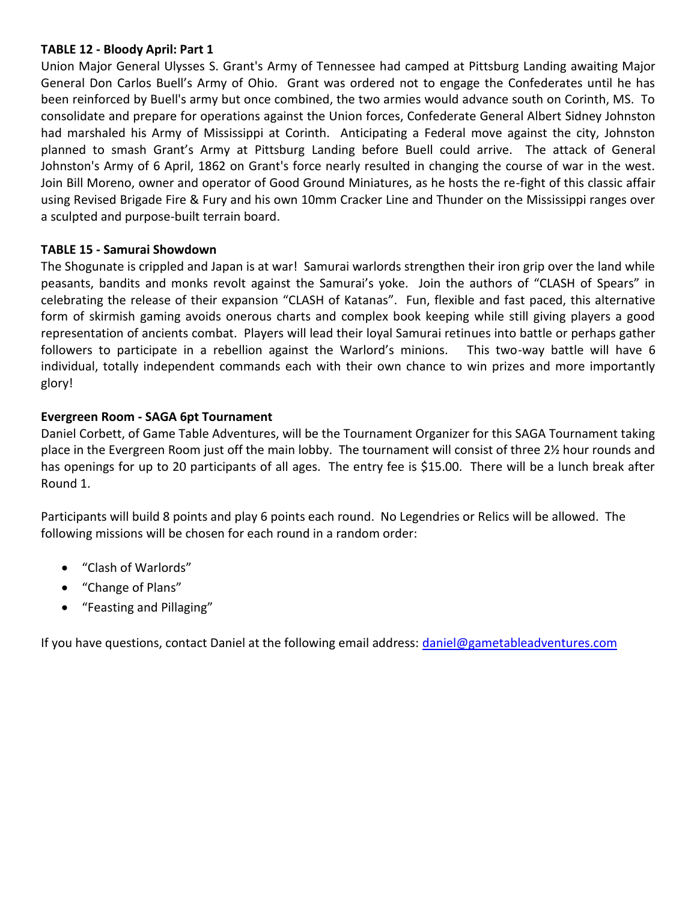#### **TABLE 12 - Bloody April: Part 1**

Union Major General Ulysses S. Grant's Army of Tennessee had camped at Pittsburg Landing awaiting Major General Don Carlos Buell's Army of Ohio. Grant was ordered not to engage the Confederates until he has been reinforced by Buell's army but once combined, the two armies would advance south on Corinth, MS. To consolidate and prepare for operations against the Union forces, Confederate General Albert Sidney Johnston had marshaled his Army of Mississippi at Corinth. Anticipating a Federal move against the city, Johnston planned to smash Grant's Army at Pittsburg Landing before Buell could arrive. The attack of General Johnston's Army of 6 April, 1862 on Grant's force nearly resulted in changing the course of war in the west. Join Bill Moreno, owner and operator of Good Ground Miniatures, as he hosts the re-fight of this classic affair using Revised Brigade Fire & Fury and his own 10mm Cracker Line and Thunder on the Mississippi ranges over a sculpted and purpose-built terrain board.

#### **TABLE 15 - Samurai Showdown**

The Shogunate is crippled and Japan is at war! Samurai warlords strengthen their iron grip over the land while peasants, bandits and monks revolt against the Samurai's yoke. Join the authors of "CLASH of Spears" in celebrating the release of their expansion "CLASH of Katanas". Fun, flexible and fast paced, this alternative form of skirmish gaming avoids onerous charts and complex book keeping while still giving players a good representation of ancients combat. Players will lead their loyal Samurai retinues into battle or perhaps gather followers to participate in a rebellion against the Warlord's minions. This two-way battle will have 6 individual, totally independent commands each with their own chance to win prizes and more importantly glory!

#### **Evergreen Room - SAGA 6pt Tournament**

Daniel Corbett, of Game Table Adventures, will be the Tournament Organizer for this SAGA Tournament taking place in the Evergreen Room just off the main lobby. The tournament will consist of three 2½ hour rounds and has openings for up to 20 participants of all ages. The entry fee is \$15.00. There will be a lunch break after Round 1.

Participants will build 8 points and play 6 points each round. No Legendries or Relics will be allowed. The following missions will be chosen for each round in a random order:

- "Clash of Warlords"
- "Change of Plans"
- "Feasting and Pillaging"

If you have questions, contact Daniel at the following email address: [daniel@gametableadventures.com](mailto:daniel@gametableadventures.com)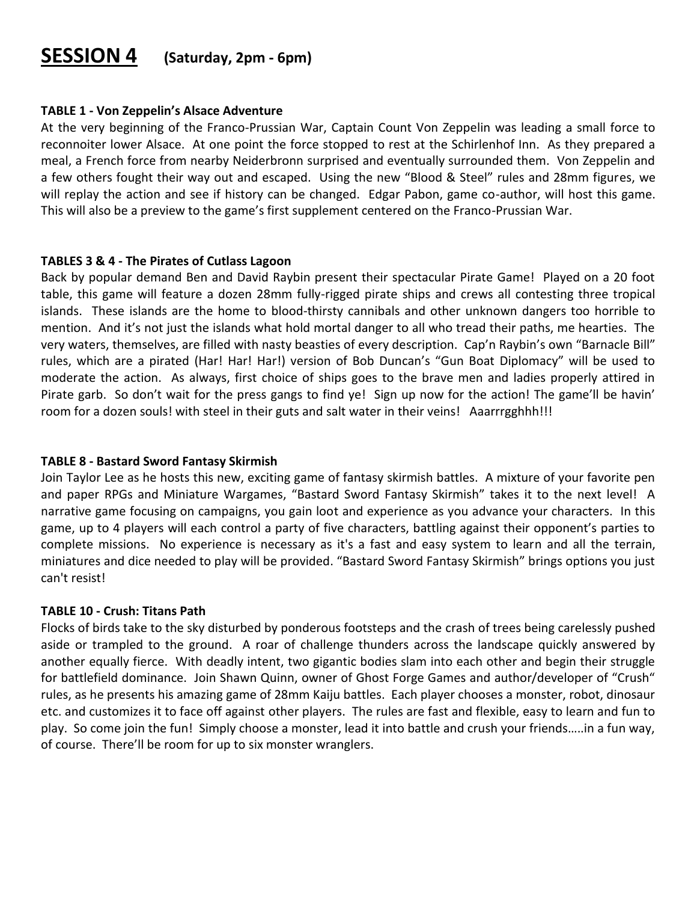## **SESSION 4 (Saturday, 2pm - 6pm)**

#### **TABLE 1 - Von Zeppelin's Alsace Adventure**

At the very beginning of the Franco-Prussian War, Captain Count Von Zeppelin was leading a small force to reconnoiter lower Alsace. At one point the force stopped to rest at the Schirlenhof Inn. As they prepared a meal, a French force from nearby Neiderbronn surprised and eventually surrounded them. Von Zeppelin and a few others fought their way out and escaped. Using the new "Blood & Steel" rules and 28mm figures, we will replay the action and see if history can be changed. Edgar Pabon, game co-author, will host this game. This will also be a preview to the game's first supplement centered on the Franco-Prussian War.

#### **TABLES 3 & 4 - The Pirates of Cutlass Lagoon**

Back by popular demand Ben and David Raybin present their spectacular Pirate Game! Played on a 20 foot table, this game will feature a dozen 28mm fully-rigged pirate ships and crews all contesting three tropical islands. These islands are the home to blood-thirsty cannibals and other unknown dangers too horrible to mention. And it's not just the islands what hold mortal danger to all who tread their paths, me hearties. The very waters, themselves, are filled with nasty beasties of every description. Cap'n Raybin's own "Barnacle Bill" rules, which are a pirated (Har! Har! Har!) version of Bob Duncan's "Gun Boat Diplomacy" will be used to moderate the action. As always, first choice of ships goes to the brave men and ladies properly attired in Pirate garb. So don't wait for the press gangs to find ye! Sign up now for the action! The game'll be havin' room for a dozen souls! with steel in their guts and salt water in their veins! Aaarrrgghhh!!!

#### **TABLE 8 - Bastard Sword Fantasy Skirmish**

Join Taylor Lee as he hosts this new, exciting game of fantasy skirmish battles. A mixture of your favorite pen and paper RPGs and Miniature Wargames, "Bastard Sword Fantasy Skirmish" takes it to the next level! A narrative game focusing on campaigns, you gain loot and experience as you advance your characters. In this game, up to 4 players will each control a party of five characters, battling against their opponent's parties to complete missions. No experience is necessary as it's a fast and easy system to learn and all the terrain, miniatures and dice needed to play will be provided. "Bastard Sword Fantasy Skirmish" brings options you just can't resist!

#### **TABLE 10 - Crush: Titans Path**

Flocks of birds take to the sky disturbed by ponderous footsteps and the crash of trees being carelessly pushed aside or trampled to the ground. A roar of challenge thunders across the landscape quickly answered by another equally fierce. With deadly intent, two gigantic bodies slam into each other and begin their struggle for battlefield dominance. Join Shawn Quinn, owner of Ghost Forge Games and author/developer of "Crush" rules, as he presents his amazing game of 28mm Kaiju battles. Each player chooses a monster, robot, dinosaur etc. and customizes it to face off against other players. The rules are fast and flexible, easy to learn and fun to play. So come join the fun! Simply choose a monster, lead it into battle and crush your friends…..in a fun way, of course. There'll be room for up to six monster wranglers.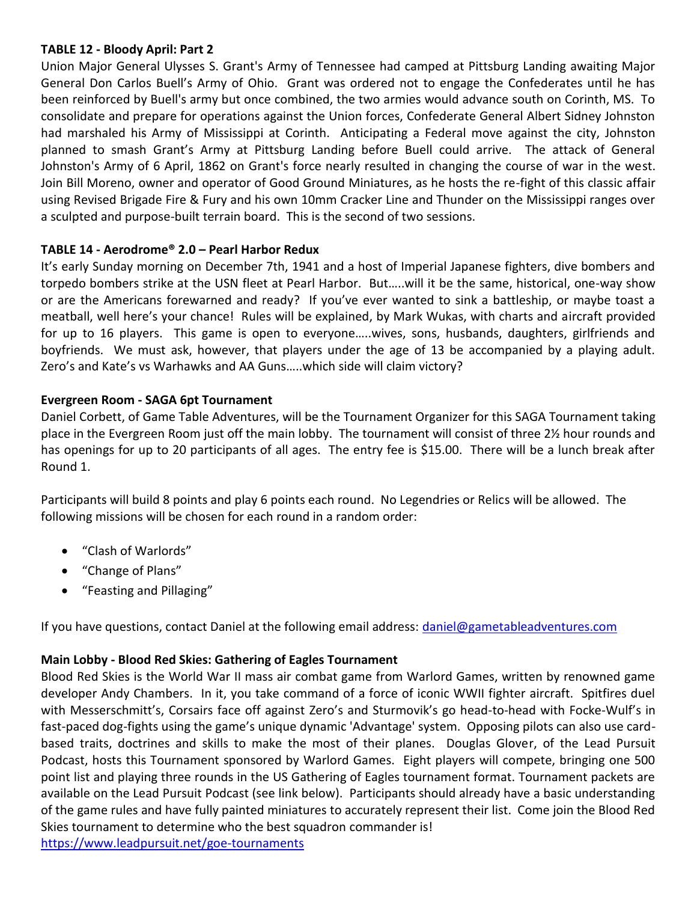#### **TABLE 12 - Bloody April: Part 2**

Union Major General Ulysses S. Grant's Army of Tennessee had camped at Pittsburg Landing awaiting Major General Don Carlos Buell's Army of Ohio. Grant was ordered not to engage the Confederates until he has been reinforced by Buell's army but once combined, the two armies would advance south on Corinth, MS. To consolidate and prepare for operations against the Union forces, Confederate General Albert Sidney Johnston had marshaled his Army of Mississippi at Corinth. Anticipating a Federal move against the city, Johnston planned to smash Grant's Army at Pittsburg Landing before Buell could arrive. The attack of General Johnston's Army of 6 April, 1862 on Grant's force nearly resulted in changing the course of war in the west. Join Bill Moreno, owner and operator of Good Ground Miniatures, as he hosts the re-fight of this classic affair using Revised Brigade Fire & Fury and his own 10mm Cracker Line and Thunder on the Mississippi ranges over a sculpted and purpose-built terrain board. This is the second of two sessions.

#### **TABLE 14 - Aerodrome® 2.0 – Pearl Harbor Redux**

It's early Sunday morning on December 7th, 1941 and a host of Imperial Japanese fighters, dive bombers and torpedo bombers strike at the USN fleet at Pearl Harbor. But…..will it be the same, historical, one-way show or are the Americans forewarned and ready? If you've ever wanted to sink a battleship, or maybe toast a meatball, well here's your chance! Rules will be explained, by Mark Wukas, with charts and aircraft provided for up to 16 players. This game is open to everyone…..wives, sons, husbands, daughters, girlfriends and boyfriends. We must ask, however, that players under the age of 13 be accompanied by a playing adult. Zero's and Kate's vs Warhawks and AA Guns…..which side will claim victory?

#### **Evergreen Room - SAGA 6pt Tournament**

Daniel Corbett, of Game Table Adventures, will be the Tournament Organizer for this SAGA Tournament taking place in the Evergreen Room just off the main lobby. The tournament will consist of three 2½ hour rounds and has openings for up to 20 participants of all ages. The entry fee is \$15.00. There will be a lunch break after Round 1.

Participants will build 8 points and play 6 points each round. No Legendries or Relics will be allowed. The following missions will be chosen for each round in a random order:

- "Clash of Warlords"
- "Change of Plans"
- "Feasting and Pillaging"

If you have questions, contact Daniel at the following email address: [daniel@gametableadventures.com](mailto:daniel@gametableadventures.com)

#### **Main Lobby - Blood Red Skies: Gathering of Eagles Tournament**

Blood Red Skies is the World War II mass air combat game from Warlord Games, written by renowned game developer Andy Chambers. In it, you take command of a force of iconic WWII fighter aircraft. Spitfires duel with Messerschmitt's, Corsairs face off against Zero's and Sturmovik's go head-to-head with Focke-Wulf's in fast-paced dog-fights using the game's unique dynamic 'Advantage' system. Opposing pilots can also use cardbased traits, doctrines and skills to make the most of their planes. Douglas Glover, of the Lead Pursuit Podcast, hosts this Tournament sponsored by Warlord Games. Eight players will compete, bringing one 500 point list and playing three rounds in the US Gathering of Eagles tournament format. Tournament packets are available on the Lead Pursuit Podcast (see link below). Participants should already have a basic understanding of the game rules and have fully painted miniatures to accurately represent their list. Come join the Blood Red Skies tournament to determine who the best squadron commander is!

<https://www.leadpursuit.net/goe-tournaments>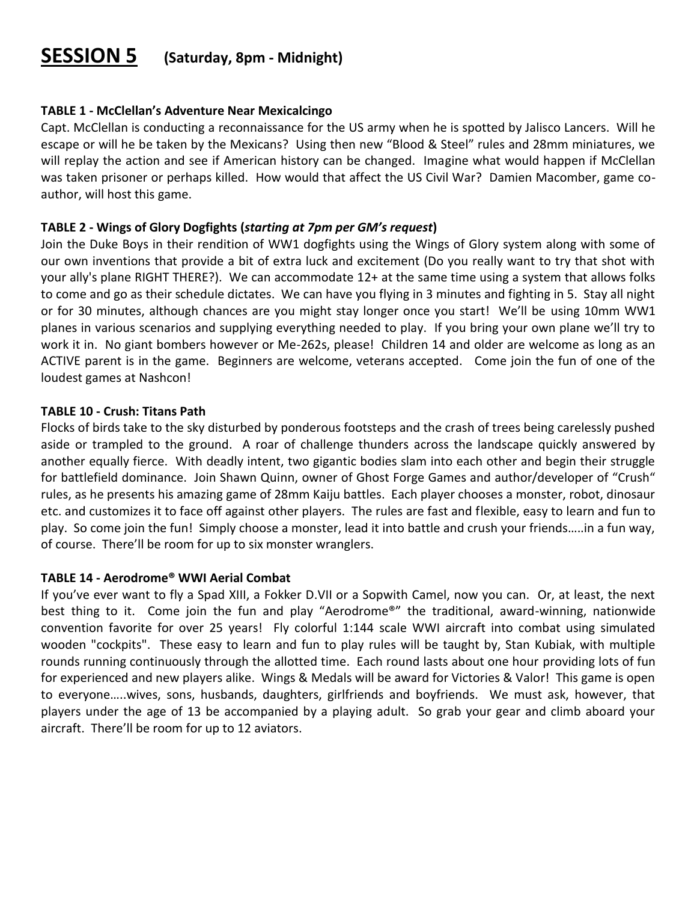## **SESSION 5 (Saturday, 8pm - Midnight)**

#### **TABLE 1 - McClellan's Adventure Near Mexicalcingo**

Capt. McClellan is conducting a reconnaissance for the US army when he is spotted by Jalisco Lancers. Will he escape or will he be taken by the Mexicans? Using then new "Blood & Steel" rules and 28mm miniatures, we will replay the action and see if American history can be changed. Imagine what would happen if McClellan was taken prisoner or perhaps killed. How would that affect the US Civil War? Damien Macomber, game coauthor, will host this game.

#### **TABLE 2 - Wings of Glory Dogfights (***starting at 7pm per GM's request***)**

Join the Duke Boys in their rendition of WW1 dogfights using the Wings of Glory system along with some of our own inventions that provide a bit of extra luck and excitement (Do you really want to try that shot with your ally's plane RIGHT THERE?). We can accommodate 12+ at the same time using a system that allows folks to come and go as their schedule dictates. We can have you flying in 3 minutes and fighting in 5. Stay all night or for 30 minutes, although chances are you might stay longer once you start! We'll be using 10mm WW1 planes in various scenarios and supplying everything needed to play. If you bring your own plane we'll try to work it in. No giant bombers however or Me-262s, please! Children 14 and older are welcome as long as an ACTIVE parent is in the game. Beginners are welcome, veterans accepted. Come join the fun of one of the loudest games at Nashcon!

#### **TABLE 10 - Crush: Titans Path**

Flocks of birds take to the sky disturbed by ponderous footsteps and the crash of trees being carelessly pushed aside or trampled to the ground. A roar of challenge thunders across the landscape quickly answered by another equally fierce. With deadly intent, two gigantic bodies slam into each other and begin their struggle for battlefield dominance. Join Shawn Quinn, owner of Ghost Forge Games and author/developer of "Crush" rules, as he presents his amazing game of 28mm Kaiju battles. Each player chooses a monster, robot, dinosaur etc. and customizes it to face off against other players. The rules are fast and flexible, easy to learn and fun to play. So come join the fun! Simply choose a monster, lead it into battle and crush your friends…..in a fun way, of course. There'll be room for up to six monster wranglers.

#### **TABLE 14 - Aerodrome® WWI Aerial Combat**

If you've ever want to fly a Spad XIII, a Fokker D.VII or a Sopwith Camel, now you can. Or, at least, the next best thing to it. Come join the fun and play "Aerodrome®" the traditional, award-winning, nationwide convention favorite for over 25 years! Fly colorful 1:144 scale WWI aircraft into combat using simulated wooden "cockpits". These easy to learn and fun to play rules will be taught by, Stan Kubiak, with multiple rounds running continuously through the allotted time. Each round lasts about one hour providing lots of fun for experienced and new players alike. Wings & Medals will be award for Victories & Valor! This game is open to everyone…..wives, sons, husbands, daughters, girlfriends and boyfriends. We must ask, however, that players under the age of 13 be accompanied by a playing adult. So grab your gear and climb aboard your aircraft. There'll be room for up to 12 aviators.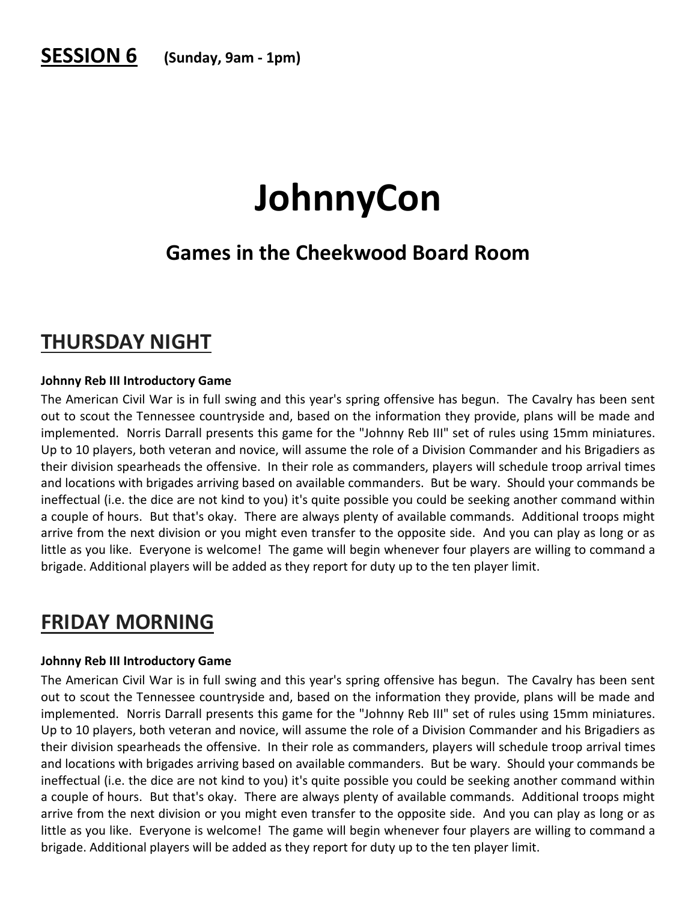## **SESSION 6 (Sunday, 9am - 1pm)**

## **JohnnyCon**

## **Games in the Cheekwood Board Room**

## **THURSDAY NIGHT**

#### **Johnny Reb III Introductory Game**

The American Civil War is in full swing and this year's spring offensive has begun. The Cavalry has been sent out to scout the Tennessee countryside and, based on the information they provide, plans will be made and implemented. Norris Darrall presents this game for the "Johnny Reb III" set of rules using 15mm miniatures. Up to 10 players, both veteran and novice, will assume the role of a Division Commander and his Brigadiers as their division spearheads the offensive. In their role as commanders, players will schedule troop arrival times and locations with brigades arriving based on available commanders. But be wary. Should your commands be ineffectual (i.e. the dice are not kind to you) it's quite possible you could be seeking another command within a couple of hours. But that's okay. There are always plenty of available commands. Additional troops might arrive from the next division or you might even transfer to the opposite side. And you can play as long or as little as you like. Everyone is welcome! The game will begin whenever four players are willing to command a brigade. Additional players will be added as they report for duty up to the ten player limit.

## **FRIDAY MORNING**

#### **Johnny Reb III Introductory Game**

The American Civil War is in full swing and this year's spring offensive has begun. The Cavalry has been sent out to scout the Tennessee countryside and, based on the information they provide, plans will be made and implemented. Norris Darrall presents this game for the "Johnny Reb III" set of rules using 15mm miniatures. Up to 10 players, both veteran and novice, will assume the role of a Division Commander and his Brigadiers as their division spearheads the offensive. In their role as commanders, players will schedule troop arrival times and locations with brigades arriving based on available commanders. But be wary. Should your commands be ineffectual (i.e. the dice are not kind to you) it's quite possible you could be seeking another command within a couple of hours. But that's okay. There are always plenty of available commands. Additional troops might arrive from the next division or you might even transfer to the opposite side. And you can play as long or as little as you like. Everyone is welcome! The game will begin whenever four players are willing to command a brigade. Additional players will be added as they report for duty up to the ten player limit.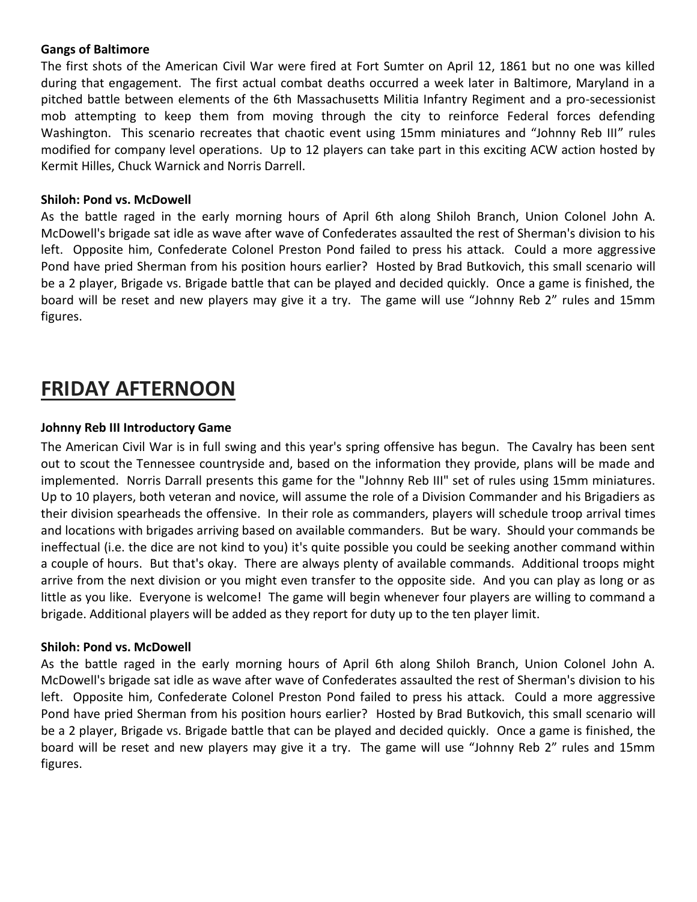#### **Gangs of Baltimore**

The first shots of the American Civil War were fired at Fort Sumter on April 12, 1861 but no one was killed during that engagement. The first actual combat deaths occurred a week later in Baltimore, Maryland in a pitched battle between elements of the 6th Massachusetts Militia Infantry Regiment and a pro-secessionist mob attempting to keep them from moving through the city to reinforce Federal forces defending Washington. This scenario recreates that chaotic event using 15mm miniatures and "Johnny Reb III" rules modified for company level operations. Up to 12 players can take part in this exciting ACW action hosted by Kermit Hilles, Chuck Warnick and Norris Darrell.

#### **Shiloh: Pond vs. McDowell**

As the battle raged in the early morning hours of April 6th along Shiloh Branch, Union Colonel John A. McDowell's brigade sat idle as wave after wave of Confederates assaulted the rest of Sherman's division to his left. Opposite him, Confederate Colonel Preston Pond failed to press his attack. Could a more aggressive Pond have pried Sherman from his position hours earlier? Hosted by Brad Butkovich, this small scenario will be a 2 player, Brigade vs. Brigade battle that can be played and decided quickly. Once a game is finished, the board will be reset and new players may give it a try. The game will use "Johnny Reb 2" rules and 15mm figures.

## **FRIDAY AFTERNOON**

#### **Johnny Reb III Introductory Game**

The American Civil War is in full swing and this year's spring offensive has begun. The Cavalry has been sent out to scout the Tennessee countryside and, based on the information they provide, plans will be made and implemented. Norris Darrall presents this game for the "Johnny Reb III" set of rules using 15mm miniatures. Up to 10 players, both veteran and novice, will assume the role of a Division Commander and his Brigadiers as their division spearheads the offensive. In their role as commanders, players will schedule troop arrival times and locations with brigades arriving based on available commanders. But be wary. Should your commands be ineffectual (i.e. the dice are not kind to you) it's quite possible you could be seeking another command within a couple of hours. But that's okay. There are always plenty of available commands. Additional troops might arrive from the next division or you might even transfer to the opposite side. And you can play as long or as little as you like. Everyone is welcome! The game will begin whenever four players are willing to command a brigade. Additional players will be added as they report for duty up to the ten player limit.

#### **Shiloh: Pond vs. McDowell**

As the battle raged in the early morning hours of April 6th along Shiloh Branch, Union Colonel John A. McDowell's brigade sat idle as wave after wave of Confederates assaulted the rest of Sherman's division to his left. Opposite him, Confederate Colonel Preston Pond failed to press his attack. Could a more aggressive Pond have pried Sherman from his position hours earlier? Hosted by Brad Butkovich, this small scenario will be a 2 player, Brigade vs. Brigade battle that can be played and decided quickly. Once a game is finished, the board will be reset and new players may give it a try. The game will use "Johnny Reb 2" rules and 15mm figures.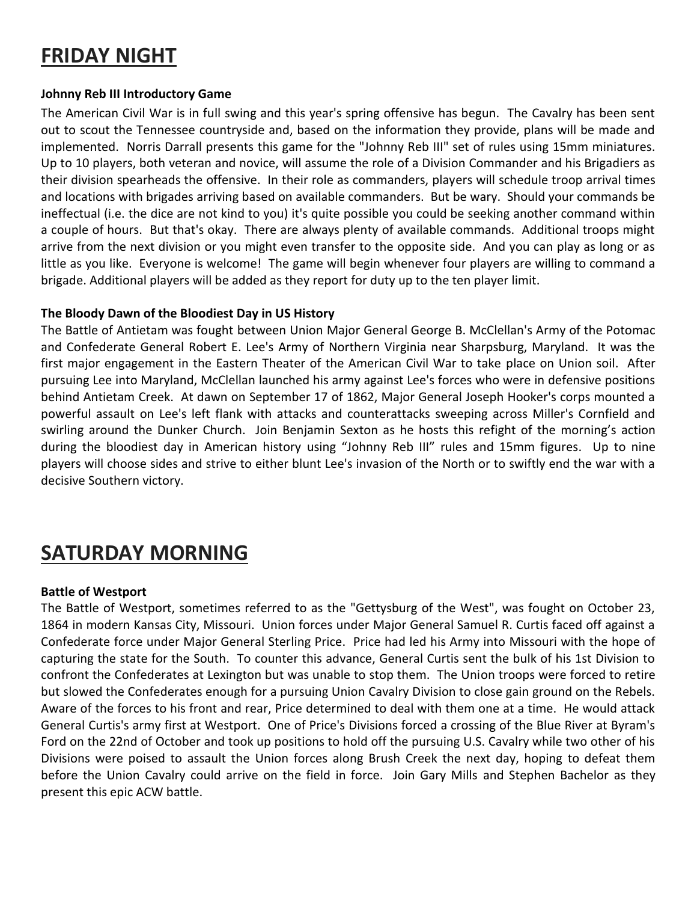## **FRIDAY NIGHT**

#### **Johnny Reb III Introductory Game**

The American Civil War is in full swing and this year's spring offensive has begun. The Cavalry has been sent out to scout the Tennessee countryside and, based on the information they provide, plans will be made and implemented. Norris Darrall presents this game for the "Johnny Reb III" set of rules using 15mm miniatures. Up to 10 players, both veteran and novice, will assume the role of a Division Commander and his Brigadiers as their division spearheads the offensive. In their role as commanders, players will schedule troop arrival times and locations with brigades arriving based on available commanders. But be wary. Should your commands be ineffectual (i.e. the dice are not kind to you) it's quite possible you could be seeking another command within a couple of hours. But that's okay. There are always plenty of available commands. Additional troops might arrive from the next division or you might even transfer to the opposite side. And you can play as long or as little as you like. Everyone is welcome! The game will begin whenever four players are willing to command a brigade. Additional players will be added as they report for duty up to the ten player limit.

#### **The Bloody Dawn of the Bloodiest Day in US History**

The Battle of Antietam was fought between Union Major General George B. McClellan's Army of the Potomac and Confederate General Robert E. Lee's Army of Northern Virginia near Sharpsburg, Maryland. It was the first major engagement in the Eastern Theater of the American Civil War to take place on Union soil. After pursuing Lee into Maryland, McClellan launched his army against Lee's forces who were in defensive positions behind Antietam Creek. At dawn on September 17 of 1862, Major General Joseph Hooker's corps mounted a powerful assault on Lee's left flank with attacks and counterattacks sweeping across Miller's Cornfield and swirling around the Dunker Church. Join Benjamin Sexton as he hosts this refight of the morning's action during the bloodiest day in American history using "Johnny Reb III" rules and 15mm figures. Up to nine players will choose sides and strive to either blunt Lee's invasion of the North or to swiftly end the war with a decisive Southern victory.

## **SATURDAY MORNING**

#### **Battle of Westport**

The Battle of Westport, sometimes referred to as the "Gettysburg of the West", was fought on October 23, 1864 in modern Kansas City, Missouri. Union forces under Major General Samuel R. Curtis faced off against a Confederate force under Major General Sterling Price. Price had led his Army into Missouri with the hope of capturing the state for the South. To counter this advance, General Curtis sent the bulk of his 1st Division to confront the Confederates at Lexington but was unable to stop them. The Union troops were forced to retire but slowed the Confederates enough for a pursuing Union Cavalry Division to close gain ground on the Rebels. Aware of the forces to his front and rear, Price determined to deal with them one at a time. He would attack General Curtis's army first at Westport. One of Price's Divisions forced a crossing of the Blue River at Byram's Ford on the 22nd of October and took up positions to hold off the pursuing U.S. Cavalry while two other of his Divisions were poised to assault the Union forces along Brush Creek the next day, hoping to defeat them before the Union Cavalry could arrive on the field in force. Join Gary Mills and Stephen Bachelor as they present this epic ACW battle.